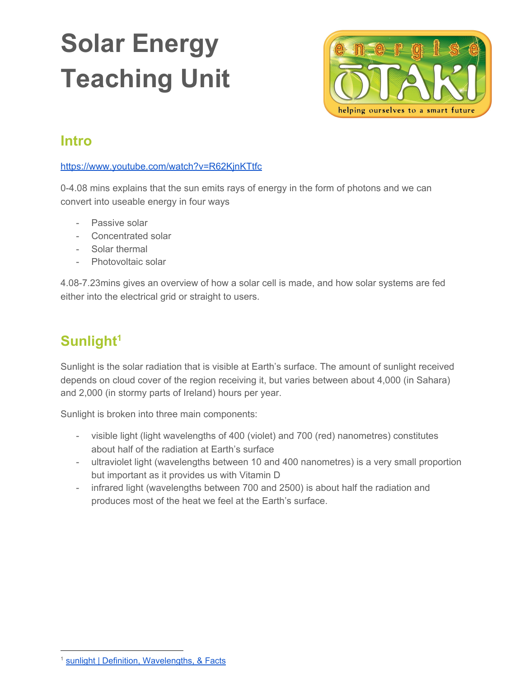# **Solar Energy Teaching Unit**



## **Intro**

<https://www.youtube.com/watch?v=R62KjnKTtfc>

0-4.08 mins explains that the sun emits rays of energy in the form of photons and we can convert into useable energy in four ways

- Passive solar
- Concentrated solar
- Solar thermal
- Photovoltaic solar

4.08-7.23mins gives an overview of how a solar cell is made, and how solar systems are fed either into the electrical grid or straight to users.

## **Sunlight<sup>1</sup>**

Sunlight is the solar radiation that is visible at Earth's surface. The amount of sunlight received depends on cloud cover of the region receiving it, but varies between about 4,000 (in Sahara) and 2,000 (in stormy parts of Ireland) hours per year.

Sunlight is broken into three main components:

- visible light (light wavelengths of 400 (violet) and 700 (red) nanometres) constitutes about half of the radiation at Earth's surface
- ultraviolet light (wavelengths between 10 and 400 nanometres) is a very small proportion but important as it provides us with Vitamin D
- infrared light (wavelengths between 700 and 2500) is about half the radiation and produces most of the heat we feel at the Earth's surface.

sunlight | Definition, [Wavelengths,](https://www.britannica.com/science/sunlight-solar-radiation) & Facts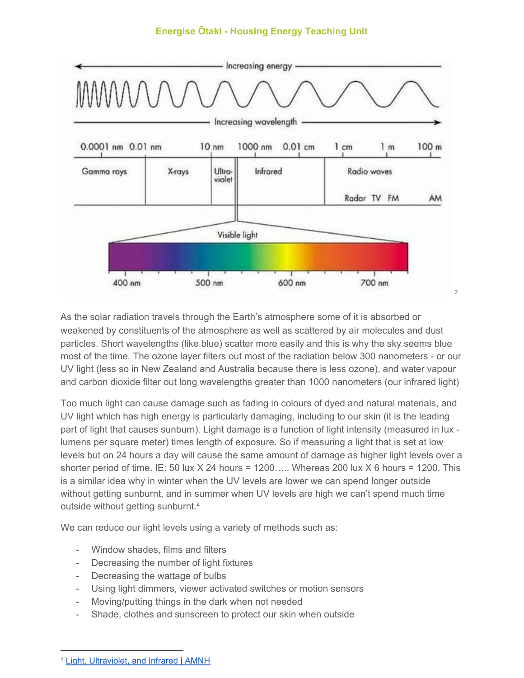

As the solar radiation travels through the Earth's atmosphere some of it is absorbed or weakened by constituents of the atmosphere as well as scattered by air molecules and dust particles. Short wavelengths (like blue) scatter more easily and this is why the sky seems blue most of the time. The ozone layer filters out most of the radiation below 300 nanometers - or our UV light (less so in New Zealand and Australia because there is less ozone), and water vapour and carbon dioxide filter out long wavelengths greater than 1000 nanometers (our infrared light)

Too much light can cause damage such as fading in colours of dyed and natural materials, and UV light which has high energy is particularly damaging, including to our skin (it is the leading part of light that causes sunburn). Light damage is a function of light intensity (measured in lux lumens per square meter) times length of exposure. So if measuring a light that is set at low levels but on 24 hours a day will cause the same amount of damage as higher light levels over a shorter period of time. IE: 50 lux  $X$  24 hours = 1200.... Whereas 200 lux  $X$  6 hours = 1200. This is a similar idea why in winter when the UV levels are lower we can spend longer outside without getting sunburnt, and in summer when UV levels are high we can't spend much time outside without getting sunburnt.<sup>2</sup>

We can reduce our light levels using a variety of methods such as:

- Window shades, films and filters
- Decreasing the number of light fixtures
- Decreasing the wattage of bulbs
- Using light dimmers, viewer activated switches or motion sensors
- Moving/putting things in the dark when not needed
- Shade, clothes and sunscreen to protect our skin when outside

<sup>2</sup> Light, [Ultraviolet,](https://www.amnh.org/research/natural-science-collections-conservation/general-conservation/preventive-conservation/light-ultraviolet-and-infrared) and Infrared | AMNH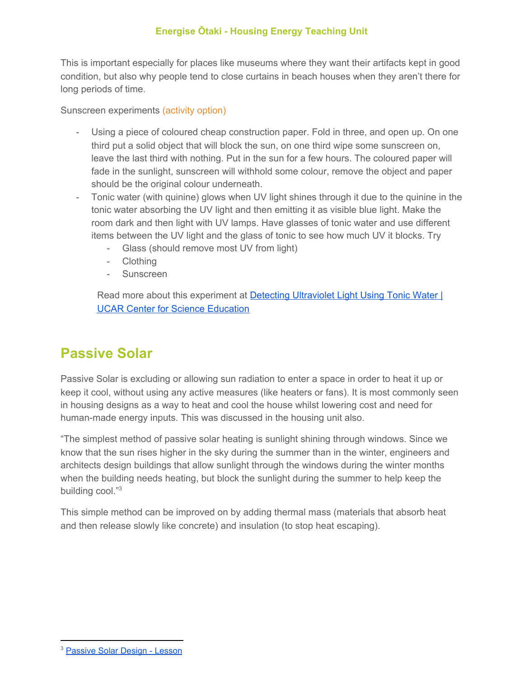This is important especially for places like museums where they want their artifacts kept in good condition, but also why people tend to close curtains in beach houses when they aren't there for long periods of time.

Sunscreen experiments (activity option)

- Using a piece of coloured cheap construction paper. Fold in three, and open up. On one third put a solid object that will block the sun, on one third wipe some sunscreen on, leave the last third with nothing. Put in the sun for a few hours. The coloured paper will fade in the sunlight, sunscreen will withhold some colour, remove the object and paper should be the original colour underneath.
- Tonic water (with quinine) glows when UV light shines through it due to the quinine in the tonic water absorbing the UV light and then emitting it as visible blue light. Make the room dark and then light with UV lamps. Have glasses of tonic water and use different items between the UV light and the glass of tonic to see how much UV it blocks. Try
	- Glass (should remove most UV from light)
	- Clothing
	- Sunscreen

Read more about this experiment at Detecting [Ultraviolet](https://scied.ucar.edu/activity/learn/ultraviolet-light-tonic-water) Light Using Tonic Water | UCAR Center for Science [Education](https://scied.ucar.edu/activity/learn/ultraviolet-light-tonic-water)

## **Passive Solar**

Passive Solar is excluding or allowing sun radiation to enter a space in order to heat it up or keep it cool, without using any active measures (like heaters or fans). It is most commonly seen in housing designs as a way to heat and cool the house whilst lowering cost and need for human-made energy inputs. This was discussed in the housing unit also.

"The simplest method of passive solar heating is sunlight shining through windows. Since we know that the sun rises higher in the sky during the summer than in the winter, engineers and architects design buildings that allow sunlight through the windows during the winter months when the building needs heating, but block the sunlight during the summer to help keep the building cool."3

This simple method can be improved on by adding thermal mass (materials that absorb heat and then release slowly like concrete) and insulation (to stop heat escaping).

<sup>&</sup>lt;sup>3</sup> [Passive](https://www.teachengineering.org/lessons/view/cub_housing_lesson05) Solar Design - Lesson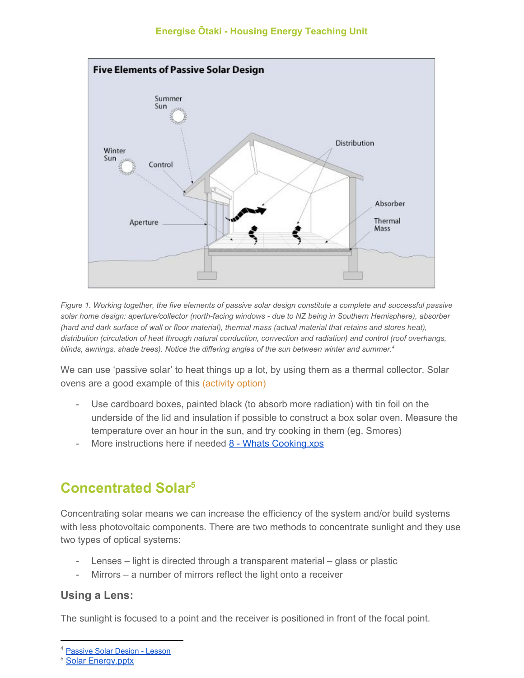

Figure 1. Working together, the five elements of passive solar design constitute a complete and successful passive *solar home design: aperture/collector (north-facing windows - due to NZ being in Southern Hemisphere), absorber* (hard and dark surface of wall or floor material), thermal mass (actual material that retains and stores heat), *distribution (circulation of heat through natural conduction, convection and radiation) and control (roof overhangs, blinds, awnings, shade trees). Notice the differing angles of the sun between winter and summer. 4*

We can use 'passive solar' to heat things up a lot, by using them as a thermal collector. Solar ovens are a good example of this (activity option)

- Use cardboard boxes, painted black (to absorb more radiation) with tin foil on the underside of the lid and insulation if possible to construct a box solar oven. Measure the temperature over an hour in the sun, and try cooking in them (eg. Smores)
- More instructions here if needed 8 Whats [Cooking.xps](http://www.fsec.ucf.edu/en/education/k-12/curricula/use/documents/USE_8_WhatsCooking.pdf)

## **Concentrated Solar<sup>5</sup>**

Concentrating solar means we can increase the efficiency of the system and/or build systems with less photovoltaic components. There are two methods to concentrate sunlight and they use two types of optical systems:

- Lenses light is directed through a transparent material glass or plastic
- Mirrors a number of mirrors reflect the light onto a receiver

## **Using a Lens:**

The sunlight is focused to a point and the receiver is positioned in front of the focal point.

[Passive Solar Design - Lesson](https://www.teachengineering.org/lessons/view/cub_housing_lesson05)

<sup>5</sup> Solar [Energy.pptx](https://drive.google.com/open?id=11bIOV4Lv9Vp-De9BgRgjN-Bhrk841tIR)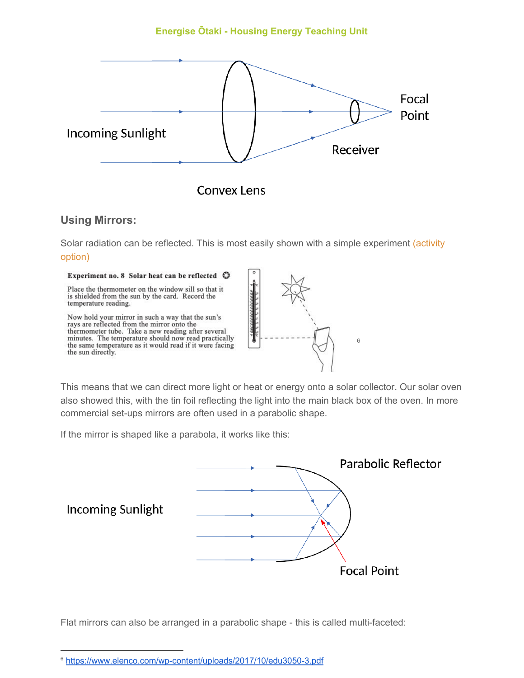

#### **Using Mirrors:**

Solar radiation can be reflected. This is most easily shown with a simple experiment (activity option)



This means that we can direct more light or heat or energy onto a solar collector. Our solar oven also showed this, with the tin foil reflecting the light into the main black box of the oven. In more commercial set-ups mirrors are often used in a parabolic shape.

6

If the mirror is shaped like a parabola, it works like this:



Flat mirrors can also be arranged in a parabolic shape - this is called multi-faceted:

<sup>6</sup> <https://www.elenco.com/wp-content/uploads/2017/10/edu3050-3.pdf>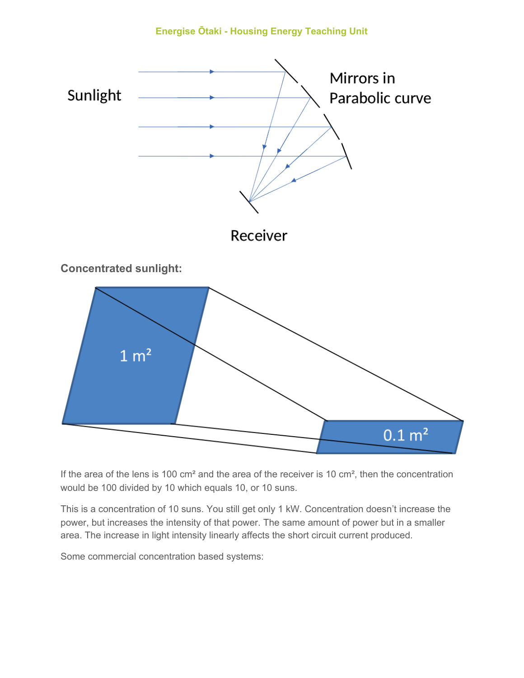

If the area of the lens is 100 cm<sup>2</sup> and the area of the receiver is 10 cm<sup>2</sup>, then the concentration would be 100 divided by 10 which equals 10, or 10 suns.

This is a concentration of 10 suns. You still get only 1 kW. Concentration doesn't increase the power, but increases the intensity of that power. The same amount of power but in a smaller area. The increase in light intensity linearly affects the short circuit current produced.

Some commercial concentration based systems: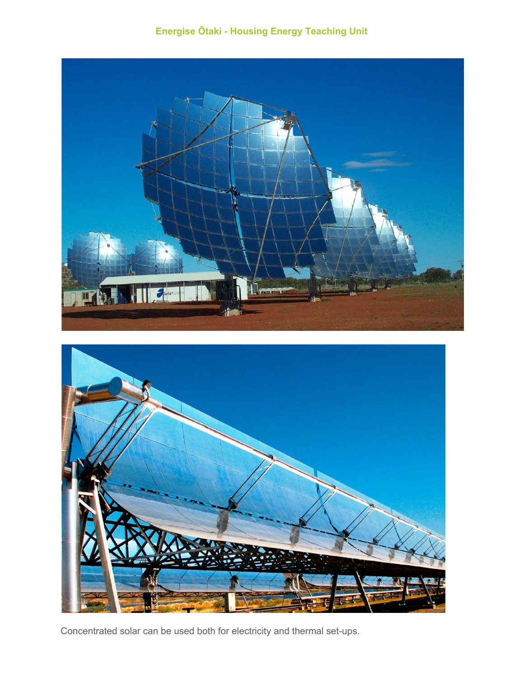**Energise Ōtaki - Housing Energy Teaching Unit**





Concentrated solar can be used both for electricity and thermal set-ups.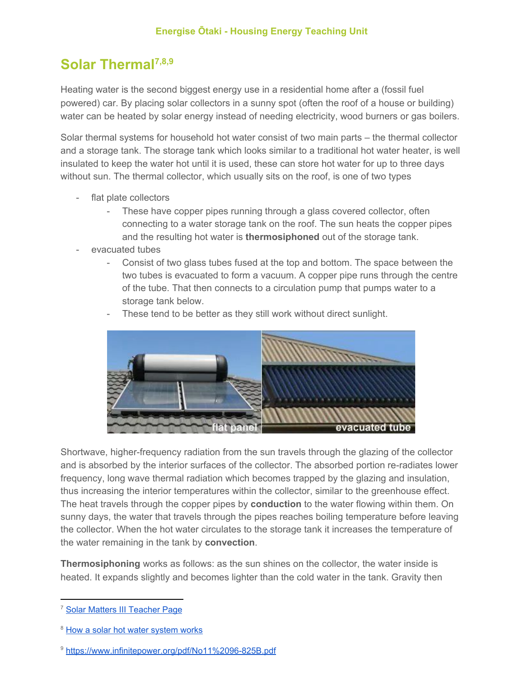## **Solar Thermal7,8,9**

Heating water is the second biggest energy use in a residential home after a (fossil fuel powered) car. By placing solar collectors in a sunny spot (often the roof of a house or building) water can be heated by solar energy instead of needing electricity, wood burners or gas boilers.

Solar thermal systems for household hot water consist of two main parts – the thermal collector and a storage tank. The storage tank which looks similar to a traditional hot water heater, is well insulated to keep the water hot until it is used, these can store hot water for up to three days without sun. The thermal collector, which usually sits on the roof, is one of two types

- flat plate collectors
	- These have copper pipes running through a glass covered collector, often connecting to a water storage tank on the roof. The sun heats the copper pipes and the resulting hot water is **thermosiphoned** out of the storage tank.
- evacuated tubes
	- Consist of two glass tubes fused at the top and bottom. The space between the two tubes is evacuated to form a vacuum. A copper pipe runs through the centre of the tube. That then connects to a circulation pump that pumps water to a storage tank below.



These tend to be better as they still work without direct sunlight.

Shortwave, higher-frequency radiation from the sun travels through the glazing of the collector and is absorbed by the interior surfaces of the collector. The absorbed portion re-radiates lower frequency, long wave thermal radiation which becomes trapped by the glazing and insulation, thus increasing the interior temperatures within the collector, similar to the greenhouse effect. The heat travels through the copper pipes by **conduction** to the water flowing within them. On sunny days, the water that travels through the pipes reaches boiling temperature before leaving the collector. When the hot water circulates to the storage tank it increases the temperature of the water remaining in the tank by **convection**.

**Thermosiphoning** works as follows: as the sun shines on the collector, the water inside is heated. It expands slightly and becomes lighter than the cold water in the tank. Gravity then

<sup>&</sup>lt;sup>7</sup> Solar Matters III [Teacher](http://www.fsec.ucf.edu/en/education/k-12/curricula/sm3/documents/SM3-16-WereInHotWaterNow_WebVersion.pdf) Page

<sup>&</sup>lt;sup>8</sup> How a solar hot water [system](https://www.energymatters.com.au/solar-hot-water/solar-hot-water-works/) works

<sup>9</sup> <https://www.infinitepower.org/pdf/No11%2096-825B.pdf>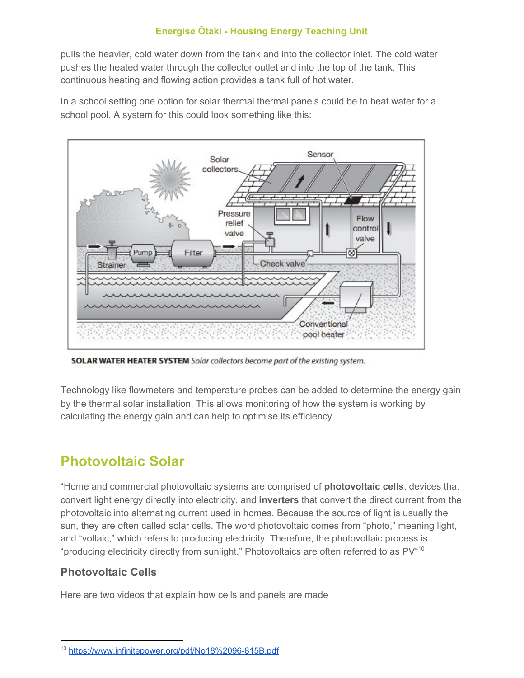pulls the heavier, cold water down from the tank and into the collector inlet. The cold water pushes the heated water through the collector outlet and into the top of the tank. This continuous heating and flowing action provides a tank full of hot water.

In a school setting one option for solar thermal thermal panels could be to heat water for a school pool. A system for this could look something like this:



**SOLAR WATER HEATER SYSTEM** Solar collectors become part of the existing system.

Technology like flowmeters and temperature probes can be added to determine the energy gain by the thermal solar installation. This allows monitoring of how the system is working by calculating the energy gain and can help to optimise its efficiency.

## **Photovoltaic Solar**

"Home and commercial photovoltaic systems are comprised of **photovoltaic cells**, devices that convert light energy directly into electricity, and **inverters** that convert the direct current from the photovoltaic into alternating current used in homes. Because the source of light is usually the sun, they are often called solar cells. The word photovoltaic comes from "photo," meaning light, and "voltaic," which refers to producing electricity. Therefore, the photovoltaic process is "producing electricity directly from sunlight." Photovoltaics are often referred to as PV<sup>"10</sup>

## **Photovoltaic Cells**

Here are two videos that explain how cells and panels are made

<sup>10</sup> <https://www.infinitepower.org/pdf/No18%2096-815B.pdf>